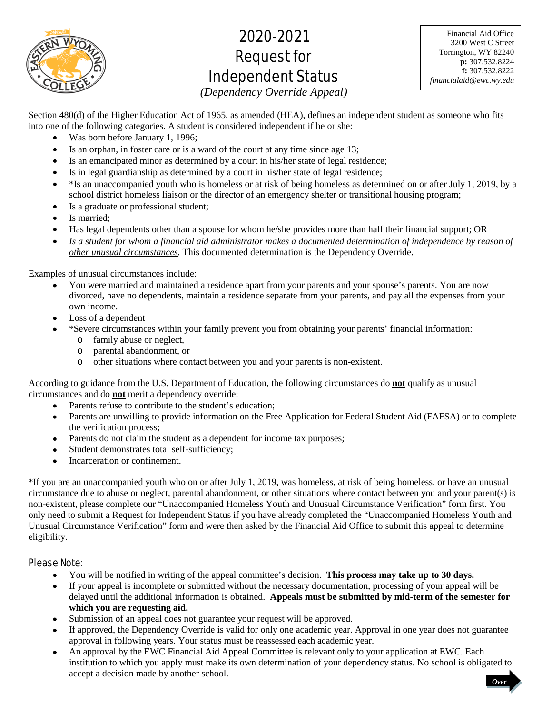

# 2020-2021 Request for Independent Status

Financial Aid Office 3200 West C Street Torrington, WY 82240 **p:** 307.532.8224 **f:** 307.532.8222 *financialaid@ewc.wy.edu*

*(Dependency Override Appeal)* 

Section 480(d) of the Higher Education Act of 1965, as amended (HEA), defines an independent student as someone who fits into one of the following categories. A student is considered independent if he or she:

- Was born before January 1, 1996;
- Is an orphan, in foster care or is a ward of the court at any time since age 13;
- Is an emancipated minor as determined by a court in his/her state of legal residence;
- Is in legal guardianship as determined by a court in his/her state of legal residence;
- $\bullet$  \*Is an unaccompanied youth who is homeless or at risk of being homeless as determined on or after July 1, 2019, by a school district homeless liaison or the director of an emergency shelter or transitional housing program;
- Is a graduate or professional student;
- Is married;
- Has legal dependents other than a spouse for whom he/she provides more than half their financial support; OR
- Is a student for whom a financial aid administrator makes a documented determination of independence by reason of *other unusual circumstances.* This documented determination is the Dependency Override.

Examples of unusual circumstances include:

- You were married and maintained a residence apart from your parents and your spouse's parents. You are now divorced, have no dependents, maintain a residence separate from your parents, and pay all the expenses from your own income.
- Loss of a dependent
- \*Severe circumstances within your family prevent you from obtaining your parents' financial information:
	- o family abuse or neglect,
	- o parental abandonment, or
	- o other situations where contact between you and your parents is non-existent.

According to guidance from the U.S. Department of Education, the following circumstances do **not** qualify as unusual circumstances and do **not** merit a dependency override:

- Parents refuse to contribute to the student's education;
- Parents are unwilling to provide information on the Free Application for Federal Student Aid (FAFSA) or to complete the verification process;
- Parents do not claim the student as a dependent for income tax purposes;
- Student demonstrates total self-sufficiency;
- Incarceration or confinement.

\*If you are an unaccompanied youth who on or after July 1, 2019, was homeless, at risk of being homeless, or have an unusual circumstance due to abuse or neglect, parental abandonment, or other situations where contact between you and your parent(s) is non-existent, please complete our "Unaccompanied Homeless Youth and Unusual Circumstance Verification" form first. You only need to submit a Request for Independent Status if you have already completed the "Unaccompanied Homeless Youth and Unusual Circumstance Verification" form and were then asked by the Financial Aid Office to submit this appeal to determine eligibility.

# Please Note:

- You will be notified in writing of the appeal committee's decision. **This process may take up to 30 days.**
- If your appeal is incomplete or submitted without the necessary documentation, processing of your appeal will be delayed until the additional information is obtained. **Appeals must be submitted by mid-term of the semester for which you are requesting aid.**
- Submission of an appeal does not guarantee your request will be approved.
- If approved, the Dependency Override is valid for only one academic year. Approval in one year does not guarantee approval in following years. Your status must be reassessed each academic year.
- An approval by the EWC Financial Aid Appeal Committee is relevant only to your application at EWC. Each institution to which you apply must make its own determination of your dependency status. No school is obligated to accept a decision made by another school. *Over*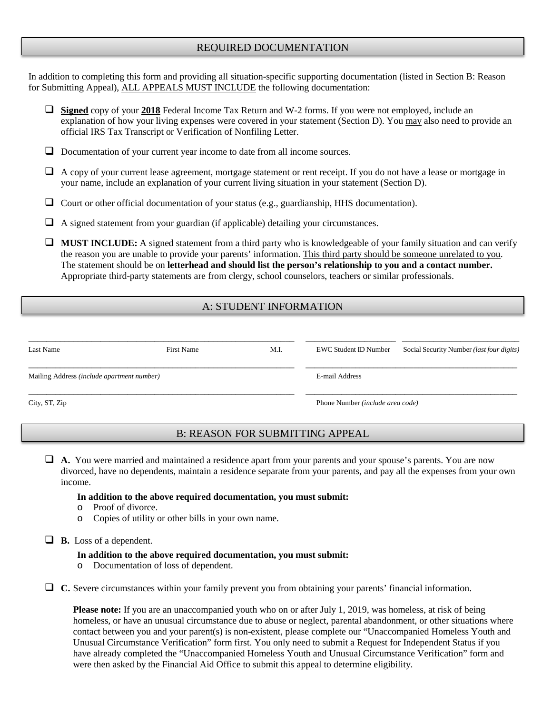# REQUIRED DOCUMENTATION

In addition to completing this form and providing all situation-specific supporting documentation (listed in Section B: Reason for Submitting Appeal), ALL APPEALS MUST INCLUDE the following documentation:

- **Signed** copy of your **2018** Federal Income Tax Return and W-2 forms. If you were not employed, include an explanation of how your living expenses were covered in your statement (Section D). You may also need to provide an official IRS Tax Transcript or Verification of Nonfiling Letter.
- $\Box$  Documentation of your current year income to date from all income sources.
- A copy of your current lease agreement, mortgage statement or rent receipt. If you do not have a lease or mortgage in your name, include an explanation of your current living situation in your statement (Section D).
- $\Box$  Court or other official documentation of your status (e.g., guardianship, HHS documentation).
- $\Box$  A signed statement from your guardian (if applicable) detailing your circumstances.

**MUST INCLUDE:** A signed statement from a third party who is knowledgeable of your family situation and can verify the reason you are unable to provide your parents' information. This third party should be someone unrelated to you. The statement should be on **letterhead and should list the person's relationship to you and a contact number.** Appropriate third-party statements are from clergy, school counselors, teachers or similar professionals.

# A: STUDENT INFORMATION

| Last Name                                  | <b>First Name</b> | M.I.                                    | EWC Student ID Number | Social Security Number ( <i>last four digits</i> ) |  |
|--------------------------------------------|-------------------|-----------------------------------------|-----------------------|----------------------------------------------------|--|
| Mailing Address (include apartment number) |                   |                                         | E-mail Address        |                                                    |  |
| City, ST, Zip                              |                   | Phone Number <i>(include area code)</i> |                       |                                                    |  |

# B: REASON FOR SUBMITTING APPEAL

 **A.** You were married and maintained a residence apart from your parents and your spouse's parents. You are now divorced, have no dependents, maintain a residence separate from your parents, and pay all the expenses from your own income.

#### **In addition to the above required documentation, you must submit:**

- o Proof of divorce.
- o Copies of utility or other bills in your own name.

**B.** Loss of a dependent.

#### **In addition to the above required documentation, you must submit:**

o Documentation of loss of dependent.

**C.** Severe circumstances within your family prevent you from obtaining your parents' financial information.

**Please note:** If you are an unaccompanied youth who on or after July 1, 2019, was homeless, at risk of being homeless, or have an unusual circumstance due to abuse or neglect, parental abandonment, or other situations where contact between you and your parent(s) is non-existent, please complete our "Unaccompanied Homeless Youth and Unusual Circumstance Verification" form first. You only need to submit a Request for Independent Status if you have already completed the "Unaccompanied Homeless Youth and Unusual Circumstance Verification" form and were then asked by the Financial Aid Office to submit this appeal to determine eligibility.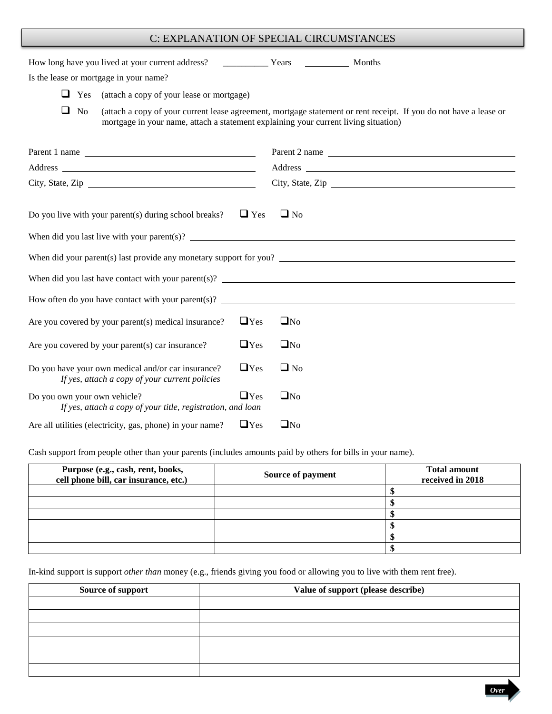# C: EXPLANATION OF SPECIAL CIRCUMSTANCES

| Is the lease or mortgage in your name?                                                                                                                                                                                                                           |            |              |                                                                                                                   |  |
|------------------------------------------------------------------------------------------------------------------------------------------------------------------------------------------------------------------------------------------------------------------|------------|--------------|-------------------------------------------------------------------------------------------------------------------|--|
| $\Box$ Yes<br>(attach a copy of your lease or mortgage)                                                                                                                                                                                                          |            |              |                                                                                                                   |  |
| $\Box$ No<br>mortgage in your name, attach a statement explaining your current living situation)                                                                                                                                                                 |            |              | (attach a copy of your current lease agreement, mortgage statement or rent receipt. If you do not have a lease or |  |
| Parent 1 name                                                                                                                                                                                                                                                    |            |              | Parent 2 name                                                                                                     |  |
|                                                                                                                                                                                                                                                                  |            |              |                                                                                                                   |  |
| City, State, Zip                                                                                                                                                                                                                                                 |            |              | City, State, Zip                                                                                                  |  |
| Do you live with your parent(s) during school breaks?<br>When did you last live with your parent(s)? $\qquad \qquad$<br>When did your parent(s) last provide any monetary support for you?<br>How often do you have contact with your parent(s)? $\qquad \qquad$ | $\Box$ Yes | $\Box$ No    |                                                                                                                   |  |
| Are you covered by your parent(s) medical insurance?                                                                                                                                                                                                             | $\Box$ Yes | $\square$ No |                                                                                                                   |  |
| Are you covered by your parent(s) car insurance?                                                                                                                                                                                                                 | $\Box$ Yes | $\square$ No |                                                                                                                   |  |
| Do you have your own medical and/or car insurance?<br>If yes, attach a copy of your current policies                                                                                                                                                             | $\Box$ Yes | $\Box$ No    |                                                                                                                   |  |
| Do you own your own vehicle?<br>If yes, attach a copy of your title, registration, and loan                                                                                                                                                                      | $\Box$ Yes | $\square$ No |                                                                                                                   |  |
| Are all utilities (electricity, gas, phone) in your name?                                                                                                                                                                                                        | $\Box$ Yes | $\square$ No |                                                                                                                   |  |

Cash support from people other than your parents (includes amounts paid by others for bills in your name).

| Purpose (e.g., cash, rent, books,<br>cell phone bill, car insurance, etc.) | Source of payment | <b>Total amount</b><br>received in 2018 |
|----------------------------------------------------------------------------|-------------------|-----------------------------------------|
|                                                                            |                   |                                         |
|                                                                            |                   |                                         |
|                                                                            |                   |                                         |
|                                                                            |                   |                                         |
|                                                                            |                   |                                         |
|                                                                            |                   |                                         |

In-kind support is support *other than* money (e.g., friends giving you food or allowing you to live with them rent free).

| Source of support | Value of support (please describe) |
|-------------------|------------------------------------|
|                   |                                    |
|                   |                                    |
|                   |                                    |
|                   |                                    |
|                   |                                    |
|                   |                                    |